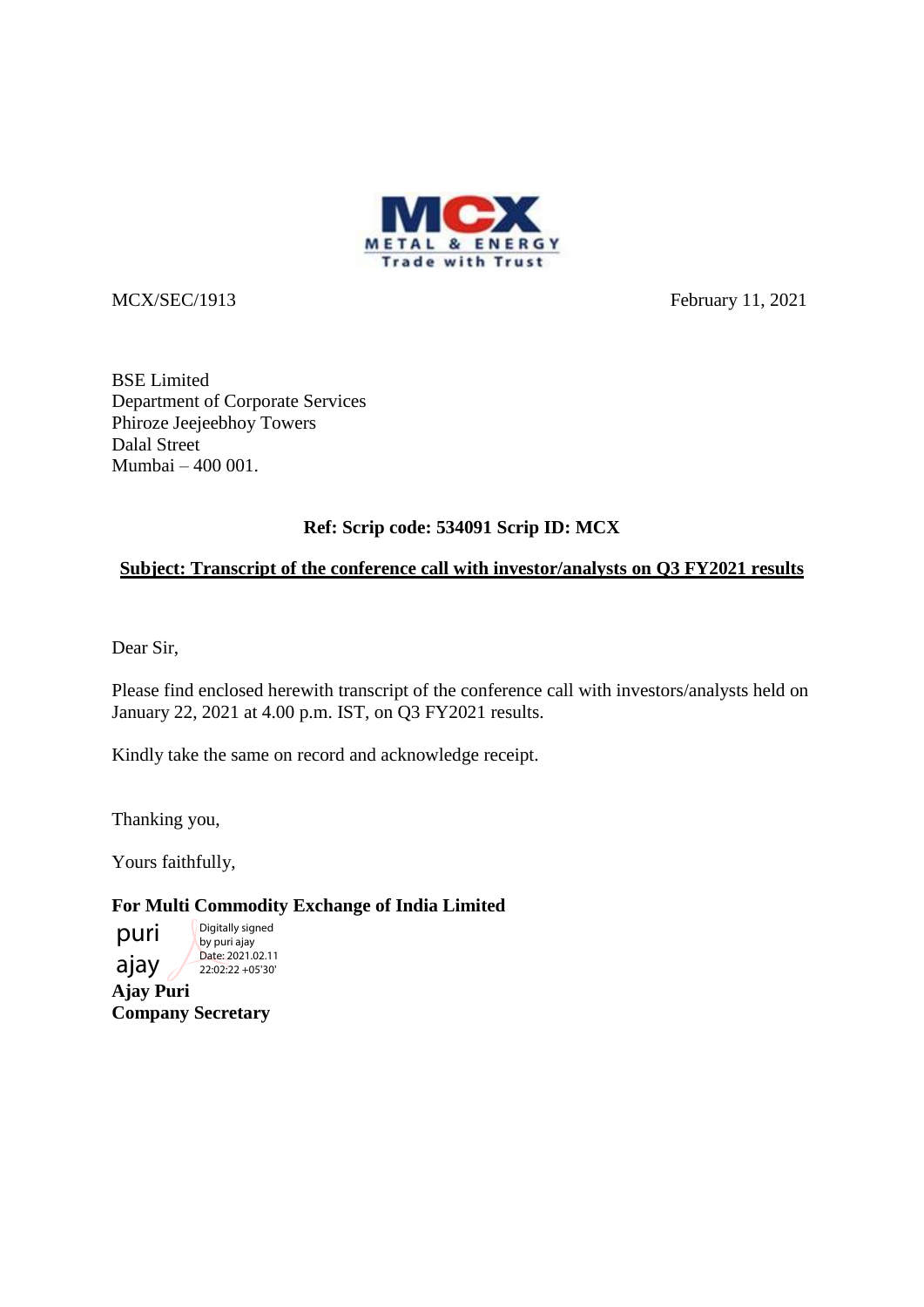

MCX/SEC/1913 February 11, 2021

BSE Limited Department of Corporate Services Phiroze Jeejeebhoy Towers Dalal Street Mumbai – 400 001.

# **Ref: Scrip code: 534091 Scrip ID: MCX**

## **Subject: Transcript of the conference call with investor/analysts on Q3 FY2021 results**

Dear Sir,

Please find enclosed herewith transcript of the conference call with investors/analysts held on January 22, 2021 at 4.00 p.m. IST, on Q3 FY2021 results.

Kindly take the same on record and acknowledge receipt.

Thanking you,

Yours faithfully,

**For Multi Commodity Exchange of India Limited**

**Ajay Puri Company Secretary** puri ajay Digitally signed by puri ajay Date: 2021.02.11 22:02:22 +05'30'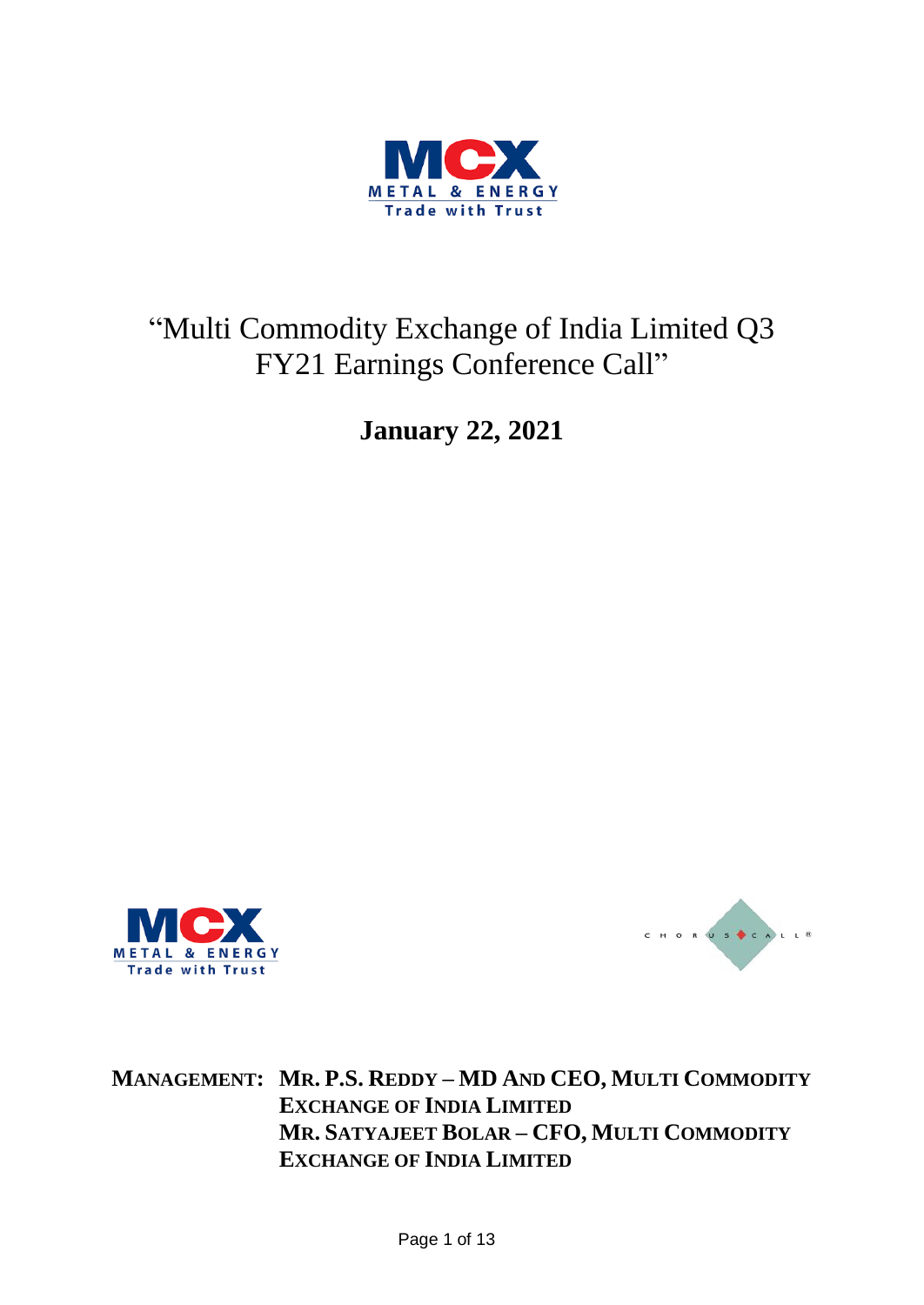

# "Multi Commodity Exchange of India Limited Q3 FY21 Earnings Conference Call"

**January 22, 2021**





**MANAGEMENT: MR. P.S. REDDY – MD AND CEO, MULTI COMMODITY EXCHANGE OF INDIA LIMITED MR. SATYAJEET BOLAR – CFO, MULTI COMMODITY EXCHANGE OF INDIA LIMITED**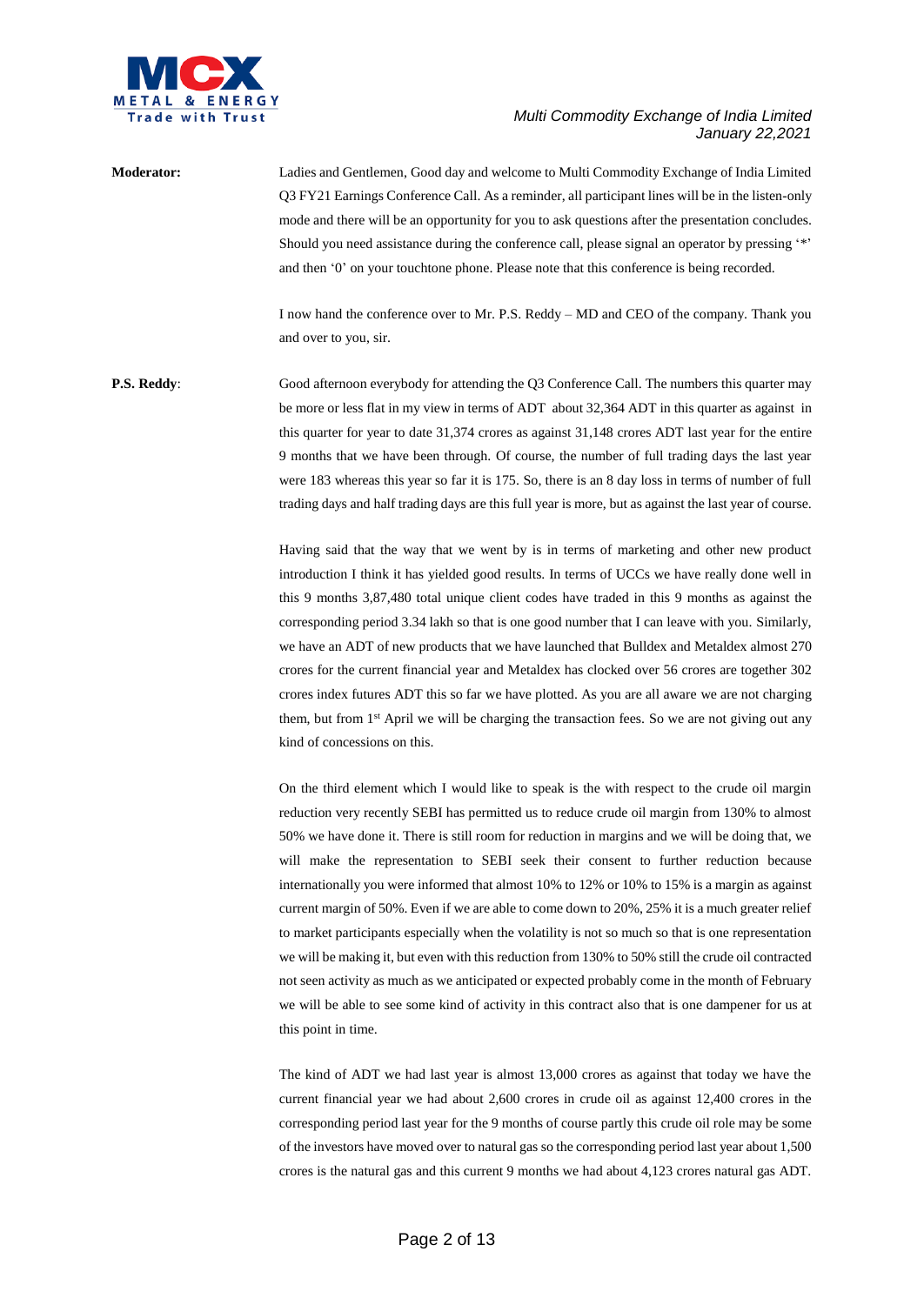

**Moderator:** Ladies and Gentlemen, Good day and welcome to Multi Commodity Exchange of India Limited Q3 FY21 Earnings Conference Call. As a reminder, all participant lines will be in the listen-only mode and there will be an opportunity for you to ask questions after the presentation concludes. Should you need assistance during the conference call, please signal an operator by pressing '\*' and then '0' on your touchtone phone. Please note that this conference is being recorded.

> I now hand the conference over to Mr. P.S. Reddy – MD and CEO of the company. Thank you and over to you, sir.

**P.S. Reddy:** Good afternoon everybody for attending the Q3 Conference Call. The numbers this quarter may be more or less flat in my view in terms of ADT about 32,364 ADT in this quarter as against in this quarter for year to date 31,374 crores as against 31,148 crores ADT last year for the entire 9 months that we have been through. Of course, the number of full trading days the last year were 183 whereas this year so far it is 175. So, there is an 8 day loss in terms of number of full trading days and half trading days are this full year is more, but as against the last year of course.

> Having said that the way that we went by is in terms of marketing and other new product introduction I think it has yielded good results. In terms of UCCs we have really done well in this 9 months 3,87,480 total unique client codes have traded in this 9 months as against the corresponding period 3.34 lakh so that is one good number that I can leave with you. Similarly, we have an ADT of new products that we have launched that Bulldex and Metaldex almost 270 crores for the current financial year and Metaldex has clocked over 56 crores are together 302 crores index futures ADT this so far we have plotted. As you are all aware we are not charging them, but from 1<sup>st</sup> April we will be charging the transaction fees. So we are not giving out any kind of concessions on this.

> On the third element which I would like to speak is the with respect to the crude oil margin reduction very recently SEBI has permitted us to reduce crude oil margin from 130% to almost 50% we have done it. There is still room for reduction in margins and we will be doing that, we will make the representation to SEBI seek their consent to further reduction because internationally you were informed that almost 10% to 12% or 10% to 15% is a margin as against current margin of 50%. Even if we are able to come down to 20%, 25% it is a much greater relief to market participants especially when the volatility is not so much so that is one representation we will be making it, but even with this reduction from 130% to 50% still the crude oil contracted not seen activity as much as we anticipated or expected probably come in the month of February we will be able to see some kind of activity in this contract also that is one dampener for us at this point in time.

> The kind of ADT we had last year is almost 13,000 crores as against that today we have the current financial year we had about 2,600 crores in crude oil as against 12,400 crores in the corresponding period last year for the 9 months of course partly this crude oil role may be some of the investors have moved over to natural gas so the corresponding period last year about 1,500 crores is the natural gas and this current 9 months we had about 4,123 crores natural gas ADT.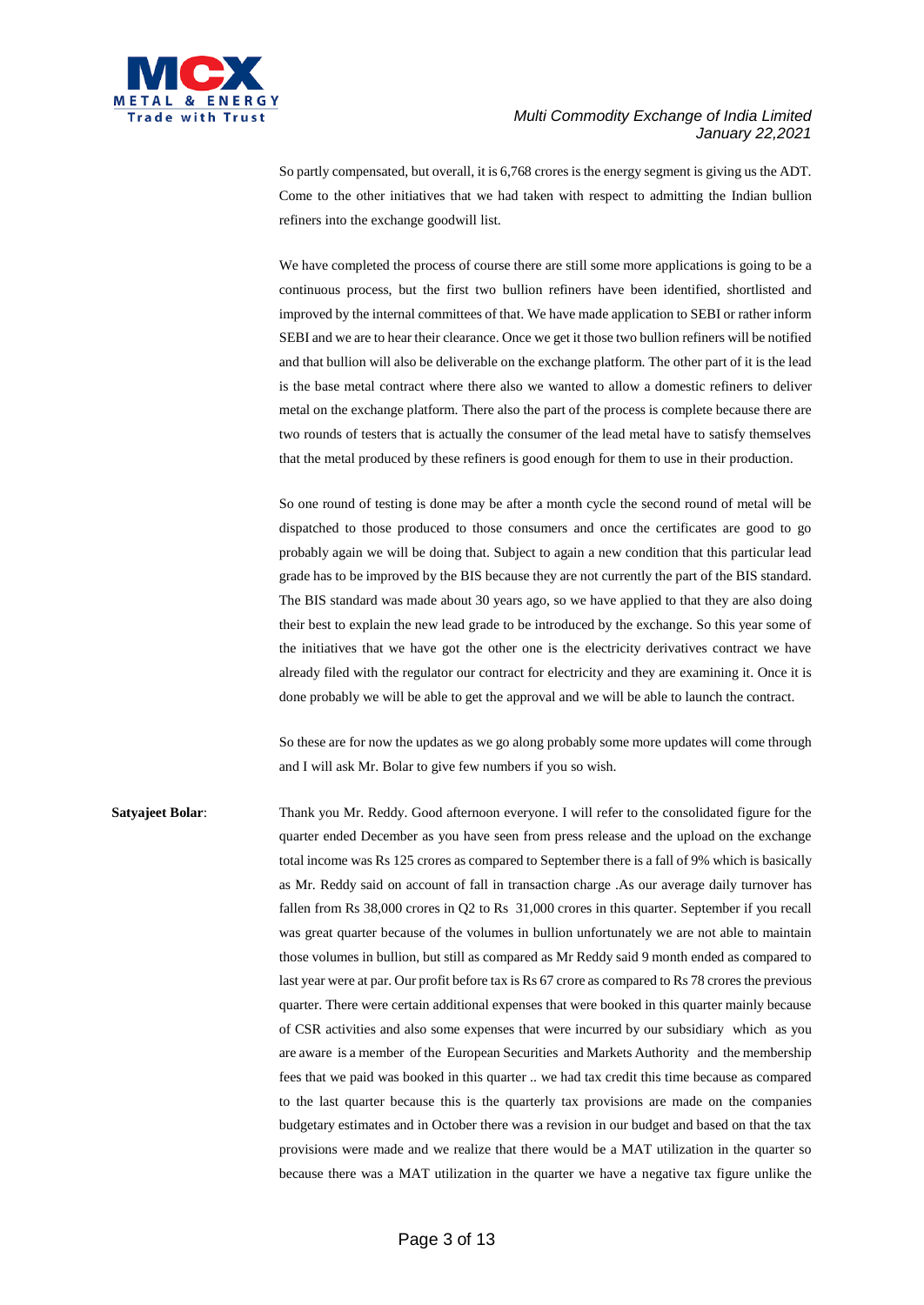

So partly compensated, but overall, it is 6,768 crores is the energy segment is giving us the ADT. Come to the other initiatives that we had taken with respect to admitting the Indian bullion refiners into the exchange goodwill list.

We have completed the process of course there are still some more applications is going to be a continuous process, but the first two bullion refiners have been identified, shortlisted and improved by the internal committees of that. We have made application to SEBI or rather inform SEBI and we are to hear their clearance. Once we get it those two bullion refiners will be notified and that bullion will also be deliverable on the exchange platform. The other part of it is the lead is the base metal contract where there also we wanted to allow a domestic refiners to deliver metal on the exchange platform. There also the part of the process is complete because there are two rounds of testers that is actually the consumer of the lead metal have to satisfy themselves that the metal produced by these refiners is good enough for them to use in their production.

So one round of testing is done may be after a month cycle the second round of metal will be dispatched to those produced to those consumers and once the certificates are good to go probably again we will be doing that. Subject to again a new condition that this particular lead grade has to be improved by the BIS because they are not currently the part of the BIS standard. The BIS standard was made about 30 years ago, so we have applied to that they are also doing their best to explain the new lead grade to be introduced by the exchange. So this year some of the initiatives that we have got the other one is the electricity derivatives contract we have already filed with the regulator our contract for electricity and they are examining it. Once it is done probably we will be able to get the approval and we will be able to launch the contract.

So these are for now the updates as we go along probably some more updates will come through and I will ask Mr. Bolar to give few numbers if you so wish.

**Satyajeet Bolar:** Thank you Mr. Reddy. Good afternoon everyone. I will refer to the consolidated figure for the quarter ended December as you have seen from press release and the upload on the exchange total income was Rs 125 crores as compared to September there is a fall of 9% which is basically as Mr. Reddy said on account of fall in transaction charge .As our average daily turnover has fallen from Rs 38,000 crores in Q2 to Rs 31,000 crores in this quarter. September if you recall was great quarter because of the volumes in bullion unfortunately we are not able to maintain those volumes in bullion, but still as compared as Mr Reddy said 9 month ended as compared to last year were at par. Our profit before tax is Rs 67 crore as compared to Rs 78 crores the previous quarter. There were certain additional expenses that were booked in this quarter mainly because of CSR activities and also some expenses that were incurred by our subsidiary which as you are aware is a member of the European Securities and Markets Authority and the membership fees that we paid was booked in this quarter .. we had tax credit this time because as compared to the last quarter because this is the quarterly tax provisions are made on the companies budgetary estimates and in October there was a revision in our budget and based on that the tax provisions were made and we realize that there would be a MAT utilization in the quarter so because there was a MAT utilization in the quarter we have a negative tax figure unlike the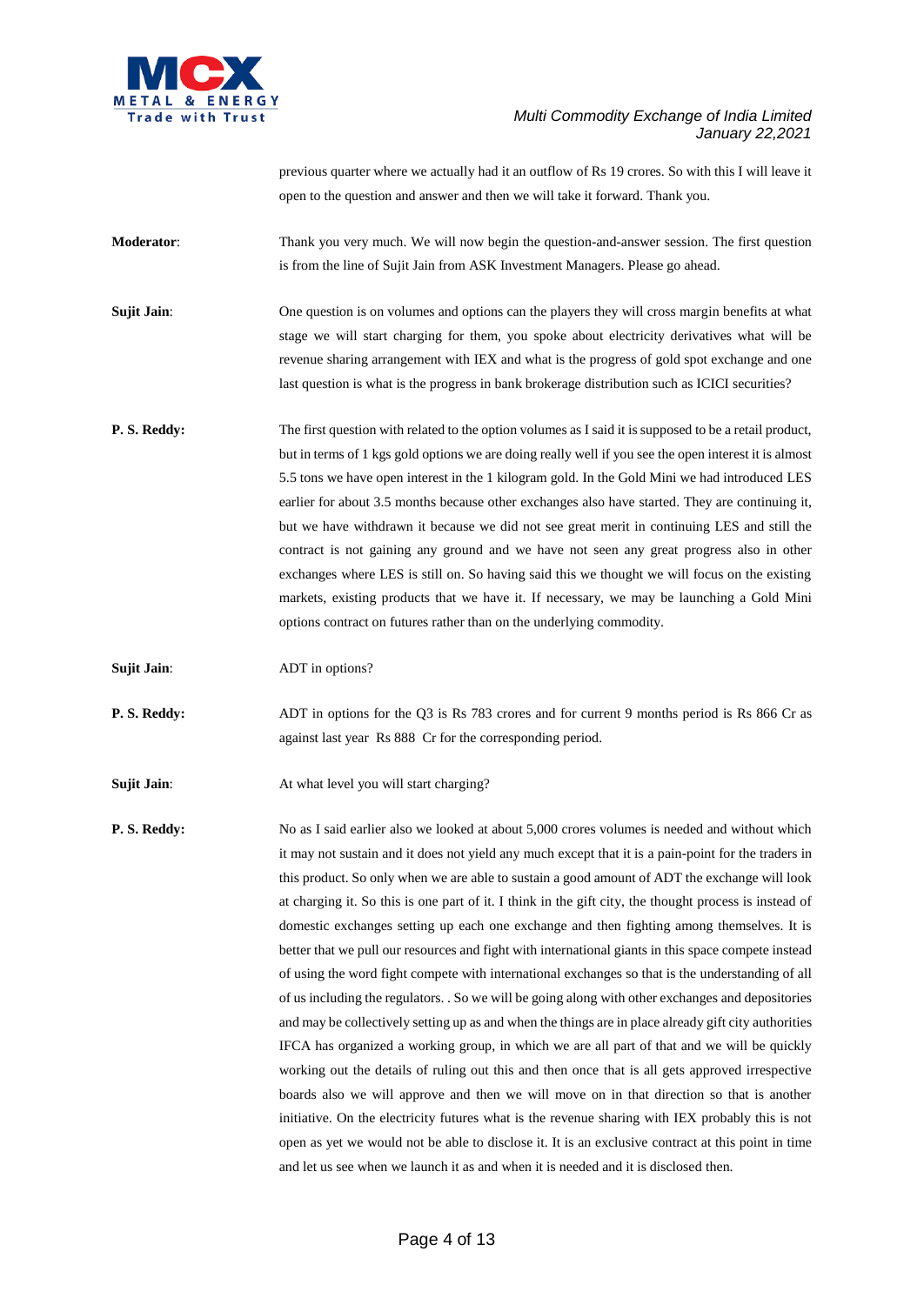

previous quarter where we actually had it an outflow of Rs 19 crores. So with this I will leave it open to the question and answer and then we will take it forward. Thank you.

- **Moderator:** Thank you very much. We will now begin the question-and-answer session. The first question is from the line of Sujit Jain from ASK Investment Managers. Please go ahead.
- **Sujit Jain:** One question is on volumes and options can the players they will cross margin benefits at what stage we will start charging for them, you spoke about electricity derivatives what will be revenue sharing arrangement with IEX and what is the progress of gold spot exchange and one last question is what is the progress in bank brokerage distribution such as ICICI securities?
- **P. S. Reddy:** The first question with related to the option volumes as I said it is supposed to be a retail product, but in terms of 1 kgs gold options we are doing really well if you see the open interest it is almost 5.5 tons we have open interest in the 1 kilogram gold. In the Gold Mini we had introduced LES earlier for about 3.5 months because other exchanges also have started. They are continuing it, but we have withdrawn it because we did not see great merit in continuing LES and still the contract is not gaining any ground and we have not seen any great progress also in other exchanges where LES is still on. So having said this we thought we will focus on the existing markets, existing products that we have it. If necessary, we may be launching a Gold Mini options contract on futures rather than on the underlying commodity.
- **Sujit Jain**: ADT in options?
- **P. S. Reddy:** ADT in options for the Q3 is Rs 783 crores and for current 9 months period is Rs 866 Cr as against last year Rs 888 Cr for the corresponding period.
- **Sujit Jain:** At what level you will start charging?

**P. S. Reddy:** No as I said earlier also we looked at about 5,000 crores volumes is needed and without which it may not sustain and it does not yield any much except that it is a pain-point for the traders in this product. So only when we are able to sustain a good amount of ADT the exchange will look at charging it. So this is one part of it. I think in the gift city, the thought process is instead of domestic exchanges setting up each one exchange and then fighting among themselves. It is better that we pull our resources and fight with international giants in this space compete instead of using the word fight compete with international exchanges so that is the understanding of all of us including the regulators. . So we will be going along with other exchanges and depositories and may be collectively setting up as and when the things are in place already gift city authorities IFCA has organized a working group, in which we are all part of that and we will be quickly working out the details of ruling out this and then once that is all gets approved irrespective boards also we will approve and then we will move on in that direction so that is another initiative. On the electricity futures what is the revenue sharing with IEX probably this is not open as yet we would not be able to disclose it. It is an exclusive contract at this point in time and let us see when we launch it as and when it is needed and it is disclosed then.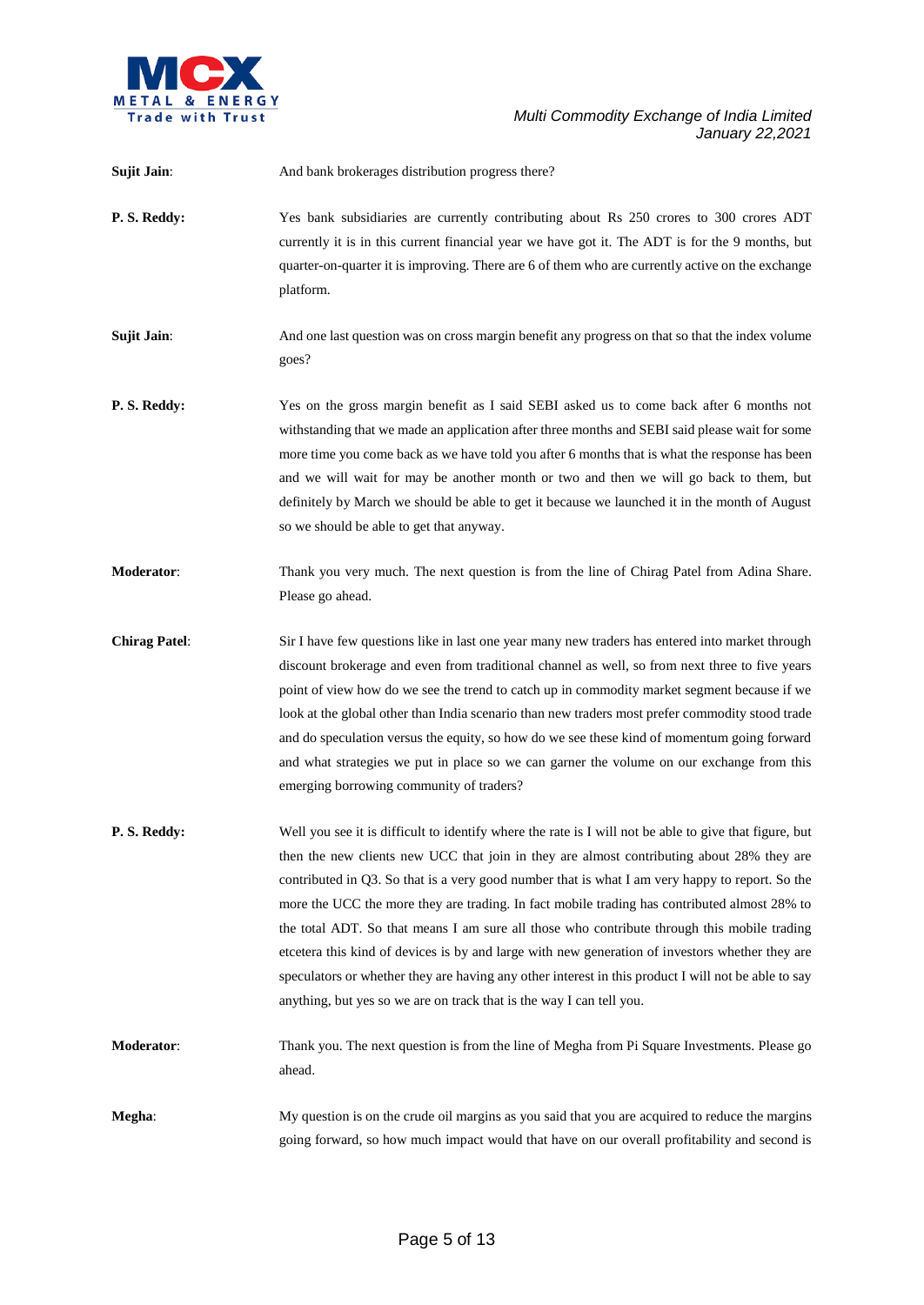

| <b>Sujit Jain:</b>   | And bank brokerages distribution progress there?                                                                                                                                                                                                                                                                                                                                                                                                                                                                                                                                                                                                                                                                                                                                        |
|----------------------|-----------------------------------------------------------------------------------------------------------------------------------------------------------------------------------------------------------------------------------------------------------------------------------------------------------------------------------------------------------------------------------------------------------------------------------------------------------------------------------------------------------------------------------------------------------------------------------------------------------------------------------------------------------------------------------------------------------------------------------------------------------------------------------------|
| P.S. Reddy:          | Yes bank subsidiaries are currently contributing about Rs 250 crores to 300 crores ADT<br>currently it is in this current financial year we have got it. The ADT is for the 9 months, but<br>quarter-on-quarter it is improving. There are 6 of them who are currently active on the exchange<br>platform.                                                                                                                                                                                                                                                                                                                                                                                                                                                                              |
| <b>Sujit Jain:</b>   | And one last question was on cross margin benefit any progress on that so that the index volume<br>goes?                                                                                                                                                                                                                                                                                                                                                                                                                                                                                                                                                                                                                                                                                |
| P.S. Reddy:          | Yes on the gross margin benefit as I said SEBI asked us to come back after 6 months not<br>withstanding that we made an application after three months and SEBI said please wait for some<br>more time you come back as we have told you after 6 months that is what the response has been<br>and we will wait for may be another month or two and then we will go back to them, but<br>definitely by March we should be able to get it because we launched it in the month of August<br>so we should be able to get that anyway.                                                                                                                                                                                                                                                       |
| Moderator:           | Thank you very much. The next question is from the line of Chirag Patel from Adina Share.<br>Please go ahead.                                                                                                                                                                                                                                                                                                                                                                                                                                                                                                                                                                                                                                                                           |
| <b>Chirag Patel:</b> | Sir I have few questions like in last one year many new traders has entered into market through<br>discount brokerage and even from traditional channel as well, so from next three to five years<br>point of view how do we see the trend to catch up in commodity market segment because if we<br>look at the global other than India scenario than new traders most prefer commodity stood trade<br>and do speculation versus the equity, so how do we see these kind of momentum going forward<br>and what strategies we put in place so we can garner the volume on our exchange from this<br>emerging borrowing community of traders?                                                                                                                                             |
| P.S. Reddy:          | Well you see it is difficult to identify where the rate is I will not be able to give that figure, but<br>then the new clients new UCC that join in they are almost contributing about 28% they are<br>contributed in Q3. So that is a very good number that is what I am very happy to report. So the<br>more the UCC the more they are trading. In fact mobile trading has contributed almost 28% to<br>the total ADT. So that means I am sure all those who contribute through this mobile trading<br>etcetera this kind of devices is by and large with new generation of investors whether they are<br>speculators or whether they are having any other interest in this product I will not be able to say<br>anything, but yes so we are on track that is the way I can tell you. |
| <b>Moderator:</b>    | Thank you. The next question is from the line of Megha from Pi Square Investments. Please go<br>ahead.                                                                                                                                                                                                                                                                                                                                                                                                                                                                                                                                                                                                                                                                                  |
| Megha:               | My question is on the crude oil margins as you said that you are acquired to reduce the margins<br>going forward, so how much impact would that have on our overall profitability and second is                                                                                                                                                                                                                                                                                                                                                                                                                                                                                                                                                                                         |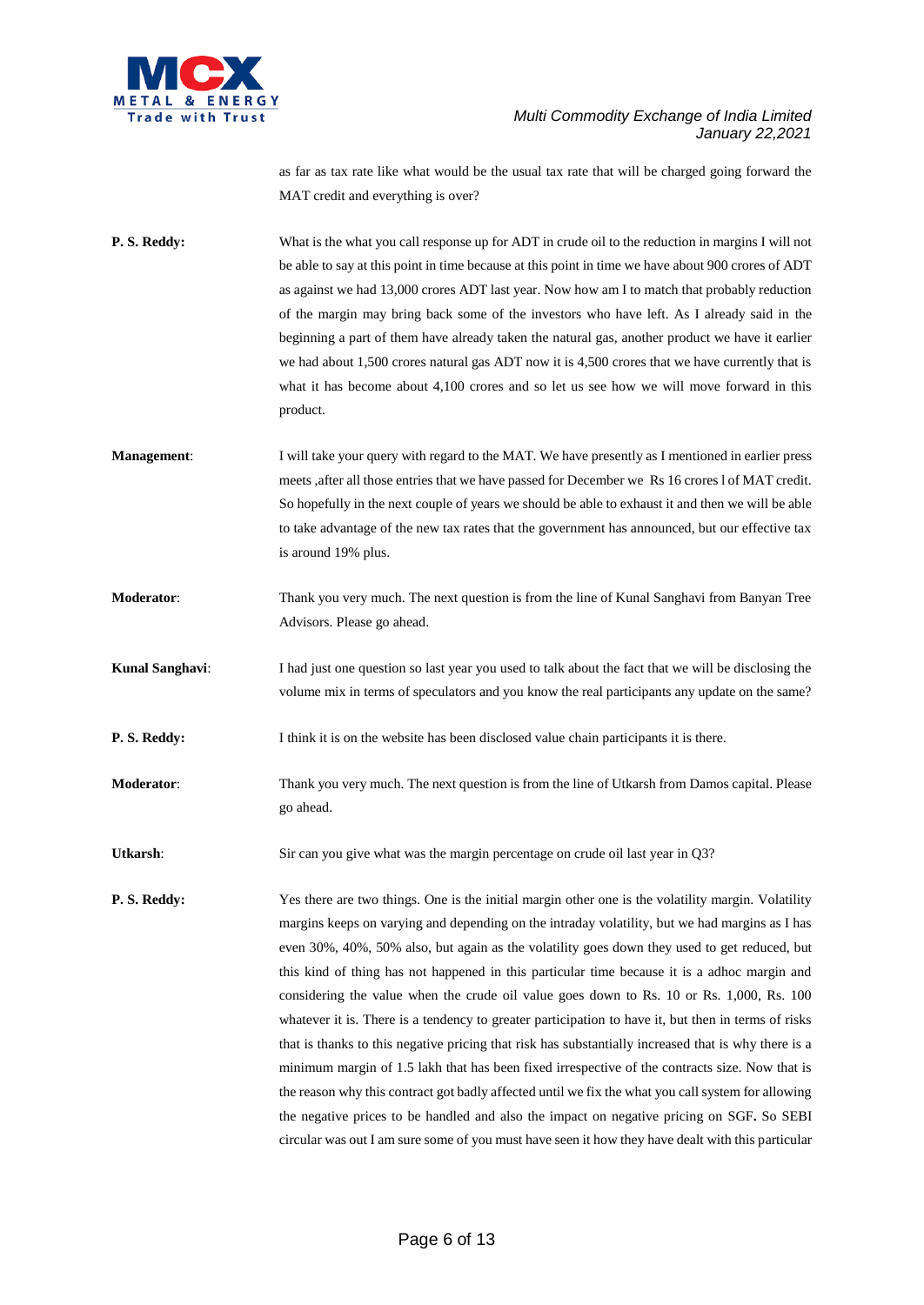

as far as tax rate like what would be the usual tax rate that will be charged going forward the MAT credit and everything is over?

**P. S. Reddy:** What is the what you call response up for ADT in crude oil to the reduction in margins I will not be able to say at this point in time because at this point in time we have about 900 crores of ADT as against we had 13,000 crores ADT last year. Now how am I to match that probably reduction of the margin may bring back some of the investors who have left. As I already said in the beginning a part of them have already taken the natural gas, another product we have it earlier we had about 1,500 crores natural gas ADT now it is 4,500 crores that we have currently that is what it has become about 4,100 crores and so let us see how we will move forward in this product.

- **Management:** I will take your query with regard to the MAT. We have presently as I mentioned in earlier press meets ,after all those entries that we have passed for December we Rs 16 crores l of MAT credit. So hopefully in the next couple of years we should be able to exhaust it and then we will be able to take advantage of the new tax rates that the government has announced, but our effective tax is around 19% plus.
- **Moderator**: Thank you very much. The next question is from the line of Kunal Sanghavi from Banyan Tree Advisors. Please go ahead.

**Kunal Sanghavi**: I had just one question so last year you used to talk about the fact that we will be disclosing the volume mix in terms of speculators and you know the real participants any update on the same?

**P. S. Reddy:** I think it is on the website has been disclosed value chain participants it is there.

**Moderator**: Thank you very much. The next question is from the line of Utkarsh from Damos capital. Please go ahead.

Utkarsh: Sir can you give what was the margin percentage on crude oil last year in Q3?

**P. S. Reddy:** Yes there are two things. One is the initial margin other one is the volatility margin. Volatility margins keeps on varying and depending on the intraday volatility, but we had margins as I has even 30%, 40%, 50% also, but again as the volatility goes down they used to get reduced, but this kind of thing has not happened in this particular time because it is a adhoc margin and considering the value when the crude oil value goes down to Rs. 10 or Rs. 1,000, Rs. 100 whatever it is. There is a tendency to greater participation to have it, but then in terms of risks that is thanks to this negative pricing that risk has substantially increased that is why there is a minimum margin of 1.5 lakh that has been fixed irrespective of the contracts size. Now that is the reason why this contract got badly affected until we fix the what you call system for allowing the negative prices to be handled and also the impact on negative pricing on SGF**.** So SEBI circular was out I am sure some of you must have seen it how they have dealt with this particular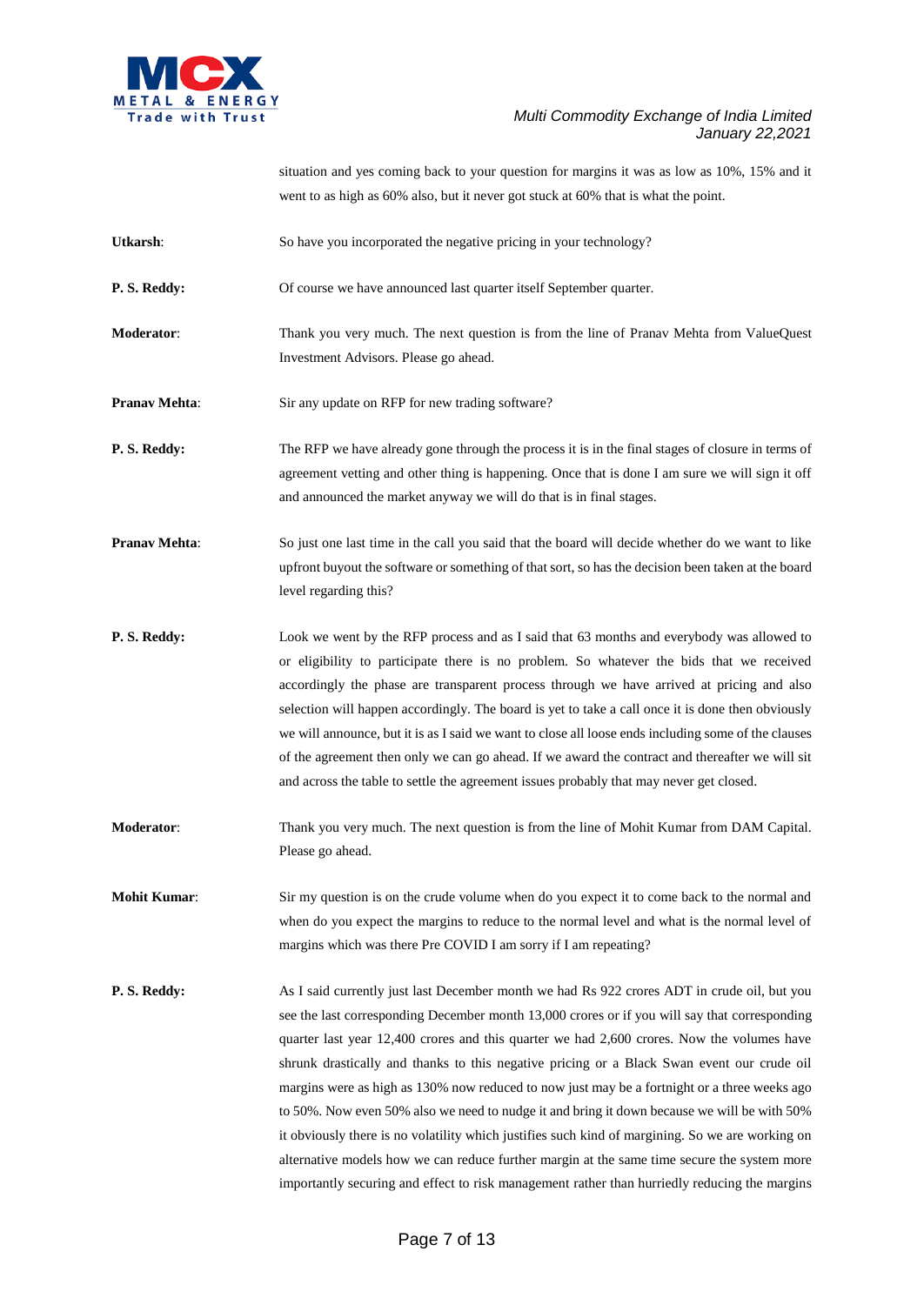

situation and yes coming back to your question for margins it was as low as 10%, 15% and it went to as high as 60% also, but it never got stuck at 60% that is what the point.

- Utkarsh: So have you incorporated the negative pricing in your technology?
- **P. S. Reddy:** Of course we have announced last quarter itself September quarter.
- **Moderator**: Thank you very much. The next question is from the line of Pranav Mehta from ValueQuest Investment Advisors. Please go ahead.
- **Pranav Mehta:** Sir any update on RFP for new trading software?
- **P. S. Reddy:** The RFP we have already gone through the process it is in the final stages of closure in terms of agreement vetting and other thing is happening. Once that is done I am sure we will sign it off and announced the market anyway we will do that is in final stages.
- **Pranav Mehta:** So just one last time in the call you said that the board will decide whether do we want to like upfront buyout the software or something of that sort, so has the decision been taken at the board level regarding this?
- **P. S. Reddy:** Look we went by the RFP process and as I said that 63 months and everybody was allowed to or eligibility to participate there is no problem. So whatever the bids that we received accordingly the phase are transparent process through we have arrived at pricing and also selection will happen accordingly. The board is yet to take a call once it is done then obviously we will announce, but it is as I said we want to close all loose ends including some of the clauses of the agreement then only we can go ahead. If we award the contract and thereafter we will sit and across the table to settle the agreement issues probably that may never get closed.
- **Moderator**: Thank you very much. The next question is from the line of Mohit Kumar from DAM Capital. Please go ahead.
- **Mohit Kumar:** Sir my question is on the crude volume when do you expect it to come back to the normal and when do you expect the margins to reduce to the normal level and what is the normal level of margins which was there Pre COVID I am sorry if I am repeating?
- **P. S. Reddy:** As I said currently just last December month we had Rs 922 crores ADT in crude oil, but you see the last corresponding December month 13,000 crores or if you will say that corresponding quarter last year 12,400 crores and this quarter we had 2,600 crores. Now the volumes have shrunk drastically and thanks to this negative pricing or a Black Swan event our crude oil margins were as high as 130% now reduced to now just may be a fortnight or a three weeks ago to 50%. Now even 50% also we need to nudge it and bring it down because we will be with 50% it obviously there is no volatility which justifies such kind of margining. So we are working on alternative models how we can reduce further margin at the same time secure the system more importantly securing and effect to risk management rather than hurriedly reducing the margins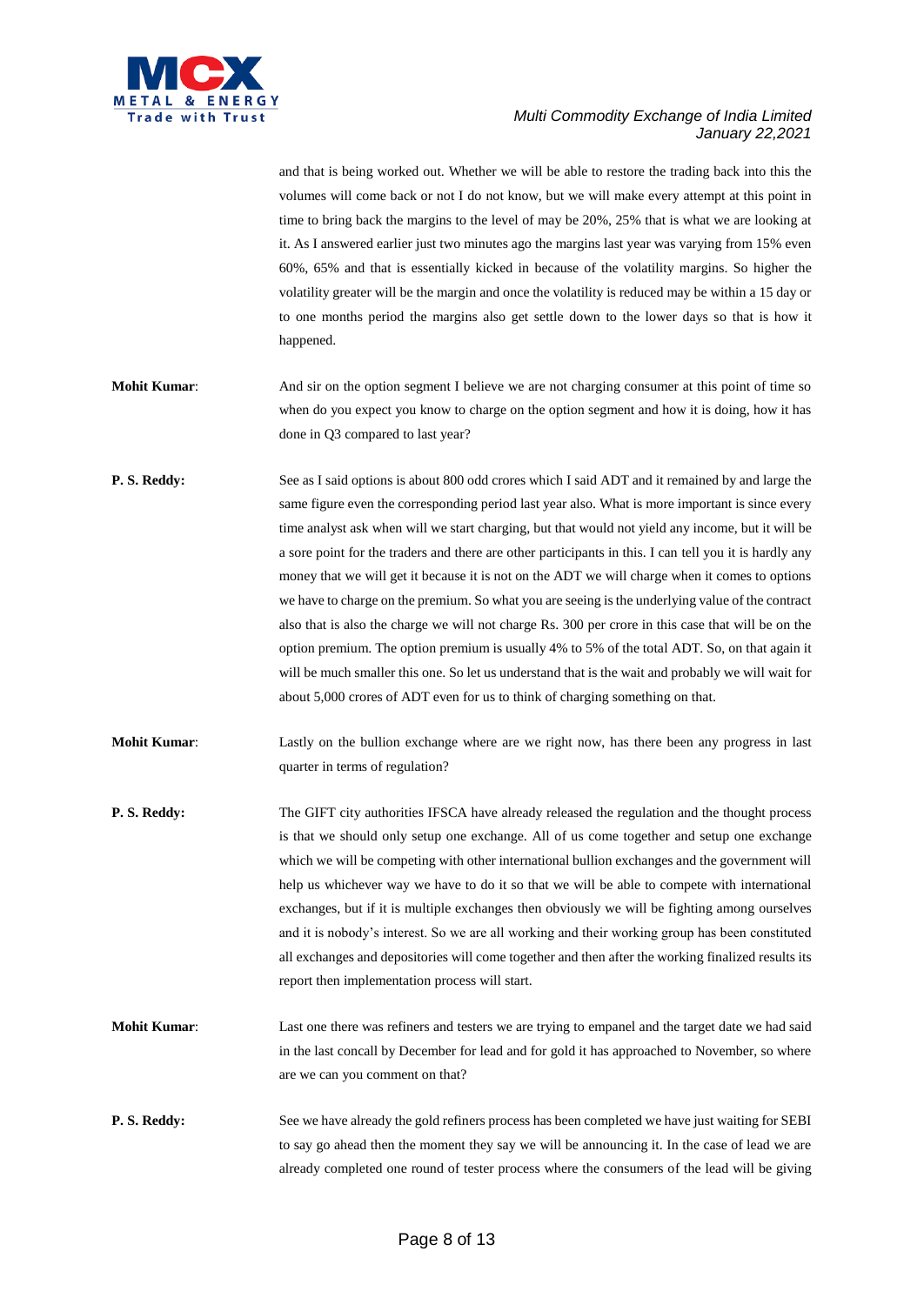

and that is being worked out. Whether we will be able to restore the trading back into this the volumes will come back or not I do not know, but we will make every attempt at this point in time to bring back the margins to the level of may be 20%, 25% that is what we are looking at it. As I answered earlier just two minutes ago the margins last year was varying from 15% even 60%, 65% and that is essentially kicked in because of the volatility margins. So higher the volatility greater will be the margin and once the volatility is reduced may be within a 15 day or to one months period the margins also get settle down to the lower days so that is how it happened.

- **Mohit Kumar:** And sir on the option segment I believe we are not charging consumer at this point of time so when do you expect you know to charge on the option segment and how it is doing, how it has done in Q3 compared to last year?
- **P. S. Reddy:** See as I said options is about 800 odd crores which I said ADT and it remained by and large the same figure even the corresponding period last year also. What is more important is since every time analyst ask when will we start charging, but that would not yield any income, but it will be a sore point for the traders and there are other participants in this. I can tell you it is hardly any money that we will get it because it is not on the ADT we will charge when it comes to options we have to charge on the premium. So what you are seeing is the underlying value of the contract also that is also the charge we will not charge Rs. 300 per crore in this case that will be on the option premium. The option premium is usually 4% to 5% of the total ADT. So, on that again it will be much smaller this one. So let us understand that is the wait and probably we will wait for about 5,000 crores of ADT even for us to think of charging something on that.
- **Mohit Kumar:** Lastly on the bullion exchange where are we right now, has there been any progress in last quarter in terms of regulation?
- **P. S. Reddy:** The GIFT city authorities IFSCA have already released the regulation and the thought process is that we should only setup one exchange. All of us come together and setup one exchange which we will be competing with other international bullion exchanges and the government will help us whichever way we have to do it so that we will be able to compete with international exchanges, but if it is multiple exchanges then obviously we will be fighting among ourselves and it is nobody's interest. So we are all working and their working group has been constituted all exchanges and depositories will come together and then after the working finalized results its report then implementation process will start.
- **Mohit Kumar:** Last one there was refiners and testers we are trying to empanel and the target date we had said in the last concall by December for lead and for gold it has approached to November, so where are we can you comment on that?
- **P. S. Reddy:** See we have already the gold refiners process has been completed we have just waiting for SEBI to say go ahead then the moment they say we will be announcing it. In the case of lead we are already completed one round of tester process where the consumers of the lead will be giving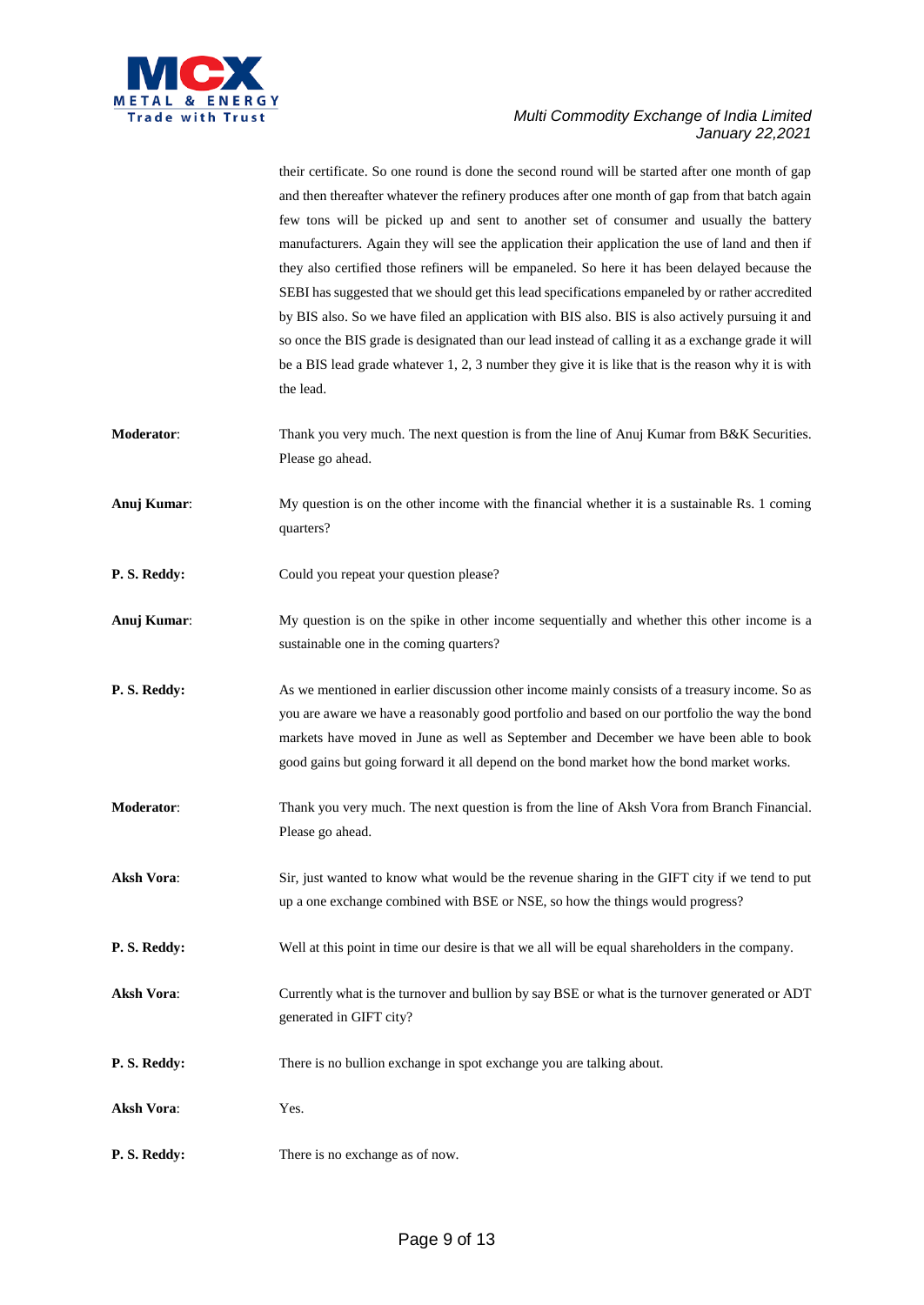

their certificate. So one round is done the second round will be started after one month of gap and then thereafter whatever the refinery produces after one month of gap from that batch again few tons will be picked up and sent to another set of consumer and usually the battery manufacturers. Again they will see the application their application the use of land and then if they also certified those refiners will be empaneled. So here it has been delayed because the SEBI has suggested that we should get this lead specifications empaneled by or rather accredited by BIS also. So we have filed an application with BIS also. BIS is also actively pursuing it and so once the BIS grade is designated than our lead instead of calling it as a exchange grade it will be a BIS lead grade whatever 1, 2, 3 number they give it is like that is the reason why it is with the lead.

- **Moderator:** Thank you very much. The next question is from the line of Anuj Kumar from B&K Securities. Please go ahead.
- **Anuj Kumar:** My question is on the other income with the financial whether it is a sustainable Rs. 1 coming quarters?
- **P. S. Reddy:** Could you repeat your question please?
- **Anuj Kumar**: My question is on the spike in other income sequentially and whether this other income is a sustainable one in the coming quarters?
- **P. S. Reddy:** As we mentioned in earlier discussion other income mainly consists of a treasury income. So as you are aware we have a reasonably good portfolio and based on our portfolio the way the bond markets have moved in June as well as September and December we have been able to book good gains but going forward it all depend on the bond market how the bond market works.
- **Moderator**: Thank you very much. The next question is from the line of Aksh Vora from Branch Financial. Please go ahead.
- **Aksh Vora**: Sir, just wanted to know what would be the revenue sharing in the GIFT city if we tend to put up a one exchange combined with BSE or NSE, so how the things would progress?
- **P. S. Reddy:** Well at this point in time our desire is that we all will be equal shareholders in the company.
- Aksh Vora: Currently what is the turnover and bullion by say BSE or what is the turnover generated or ADT generated in GIFT city?
- **P. S. Reddy:** There is no bullion exchange in spot exchange you are talking about.
- **Aksh Vora**: Yes.
- **P. S. Reddy:** There is no exchange as of now.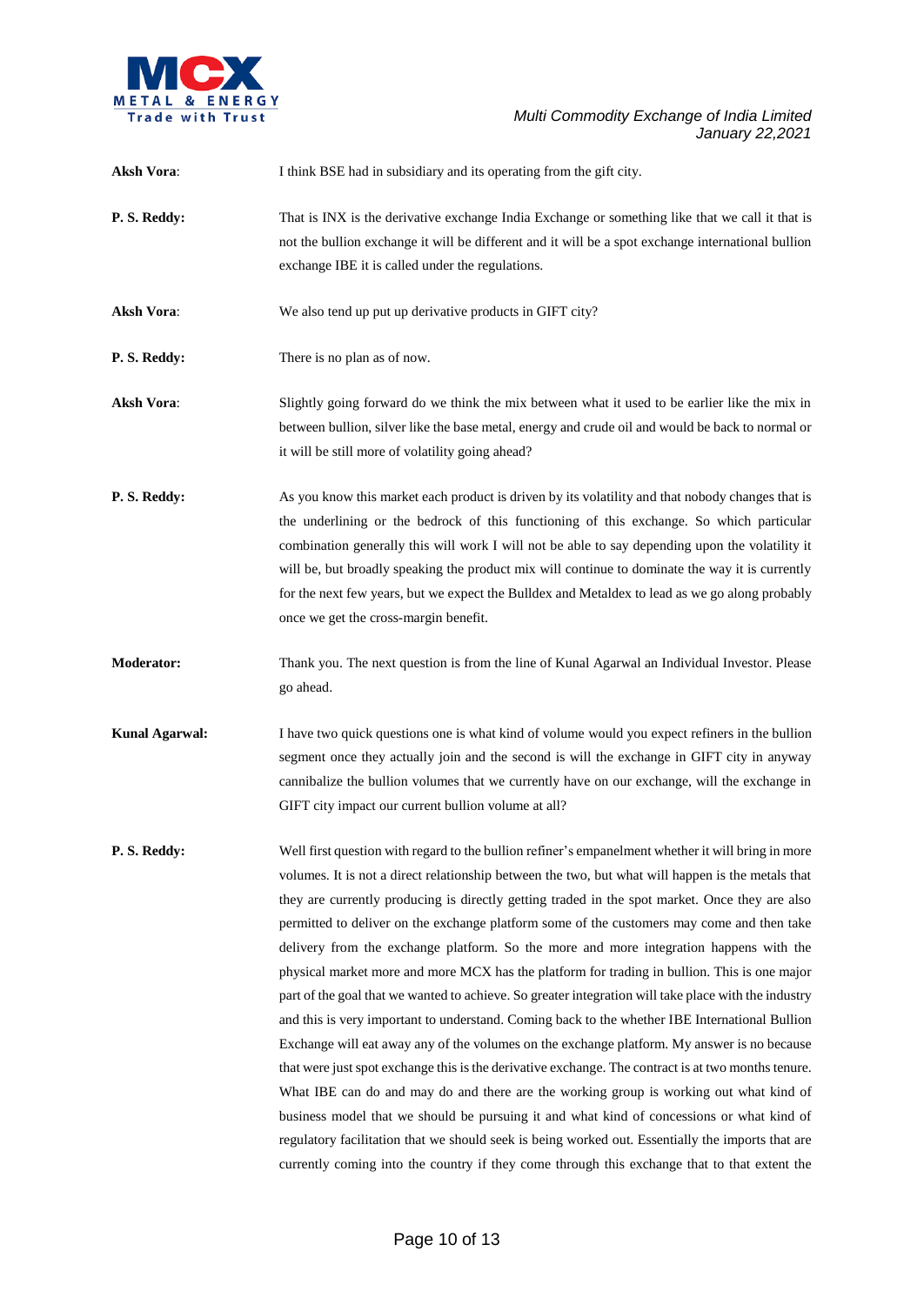

| <b>Aksh Vora:</b>     | I think BSE had in subsidiary and its operating from the gift city.                                                                                                                                                                                                                                                                                                                                                                                                                                                                                                                                                                                                                                                                                                                                                                                                                                                                                                                                                                                                                                                                                                                                                                                                                                                                                                                                           |
|-----------------------|---------------------------------------------------------------------------------------------------------------------------------------------------------------------------------------------------------------------------------------------------------------------------------------------------------------------------------------------------------------------------------------------------------------------------------------------------------------------------------------------------------------------------------------------------------------------------------------------------------------------------------------------------------------------------------------------------------------------------------------------------------------------------------------------------------------------------------------------------------------------------------------------------------------------------------------------------------------------------------------------------------------------------------------------------------------------------------------------------------------------------------------------------------------------------------------------------------------------------------------------------------------------------------------------------------------------------------------------------------------------------------------------------------------|
| P.S. Reddy:           | That is INX is the derivative exchange India Exchange or something like that we call it that is<br>not the bullion exchange it will be different and it will be a spot exchange international bullion<br>exchange IBE it is called under the regulations.                                                                                                                                                                                                                                                                                                                                                                                                                                                                                                                                                                                                                                                                                                                                                                                                                                                                                                                                                                                                                                                                                                                                                     |
| <b>Aksh Vora:</b>     | We also tend up put up derivative products in GIFT city?                                                                                                                                                                                                                                                                                                                                                                                                                                                                                                                                                                                                                                                                                                                                                                                                                                                                                                                                                                                                                                                                                                                                                                                                                                                                                                                                                      |
| P.S. Reddy:           | There is no plan as of now.                                                                                                                                                                                                                                                                                                                                                                                                                                                                                                                                                                                                                                                                                                                                                                                                                                                                                                                                                                                                                                                                                                                                                                                                                                                                                                                                                                                   |
| <b>Aksh Vora:</b>     | Slightly going forward do we think the mix between what it used to be earlier like the mix in<br>between bullion, silver like the base metal, energy and crude oil and would be back to normal or<br>it will be still more of volatility going ahead?                                                                                                                                                                                                                                                                                                                                                                                                                                                                                                                                                                                                                                                                                                                                                                                                                                                                                                                                                                                                                                                                                                                                                         |
| P.S. Reddy:           | As you know this market each product is driven by its volatility and that nobody changes that is<br>the underlining or the bedrock of this functioning of this exchange. So which particular<br>combination generally this will work I will not be able to say depending upon the volatility it<br>will be, but broadly speaking the product mix will continue to dominate the way it is currently<br>for the next few years, but we expect the Bulldex and Metaldex to lead as we go along probably<br>once we get the cross-margin benefit.                                                                                                                                                                                                                                                                                                                                                                                                                                                                                                                                                                                                                                                                                                                                                                                                                                                                 |
| <b>Moderator:</b>     | Thank you. The next question is from the line of Kunal Agarwal an Individual Investor. Please<br>go ahead.                                                                                                                                                                                                                                                                                                                                                                                                                                                                                                                                                                                                                                                                                                                                                                                                                                                                                                                                                                                                                                                                                                                                                                                                                                                                                                    |
| <b>Kunal Agarwal:</b> | I have two quick questions one is what kind of volume would you expect refiners in the bullion<br>segment once they actually join and the second is will the exchange in GIFT city in anyway<br>cannibalize the bullion volumes that we currently have on our exchange, will the exchange in<br>GIFT city impact our current bullion volume at all?                                                                                                                                                                                                                                                                                                                                                                                                                                                                                                                                                                                                                                                                                                                                                                                                                                                                                                                                                                                                                                                           |
| P.S. Reddy:           | Well first question with regard to the bullion refiner's empanelment whether it will bring in more<br>volumes. It is not a direct relationship between the two, but what will happen is the metals that<br>they are currently producing is directly getting traded in the spot market. Once they are also<br>permitted to deliver on the exchange platform some of the customers may come and then take<br>delivery from the exchange platform. So the more and more integration happens with the<br>physical market more and more MCX has the platform for trading in bullion. This is one major<br>part of the goal that we wanted to achieve. So greater integration will take place with the industry<br>and this is very important to understand. Coming back to the whether IBE International Bullion<br>Exchange will eat away any of the volumes on the exchange platform. My answer is no because<br>that were just spot exchange this is the derivative exchange. The contract is at two months tenure.<br>What IBE can do and may do and there are the working group is working out what kind of<br>business model that we should be pursuing it and what kind of concessions or what kind of<br>regulatory facilitation that we should seek is being worked out. Essentially the imports that are<br>currently coming into the country if they come through this exchange that to that extent the |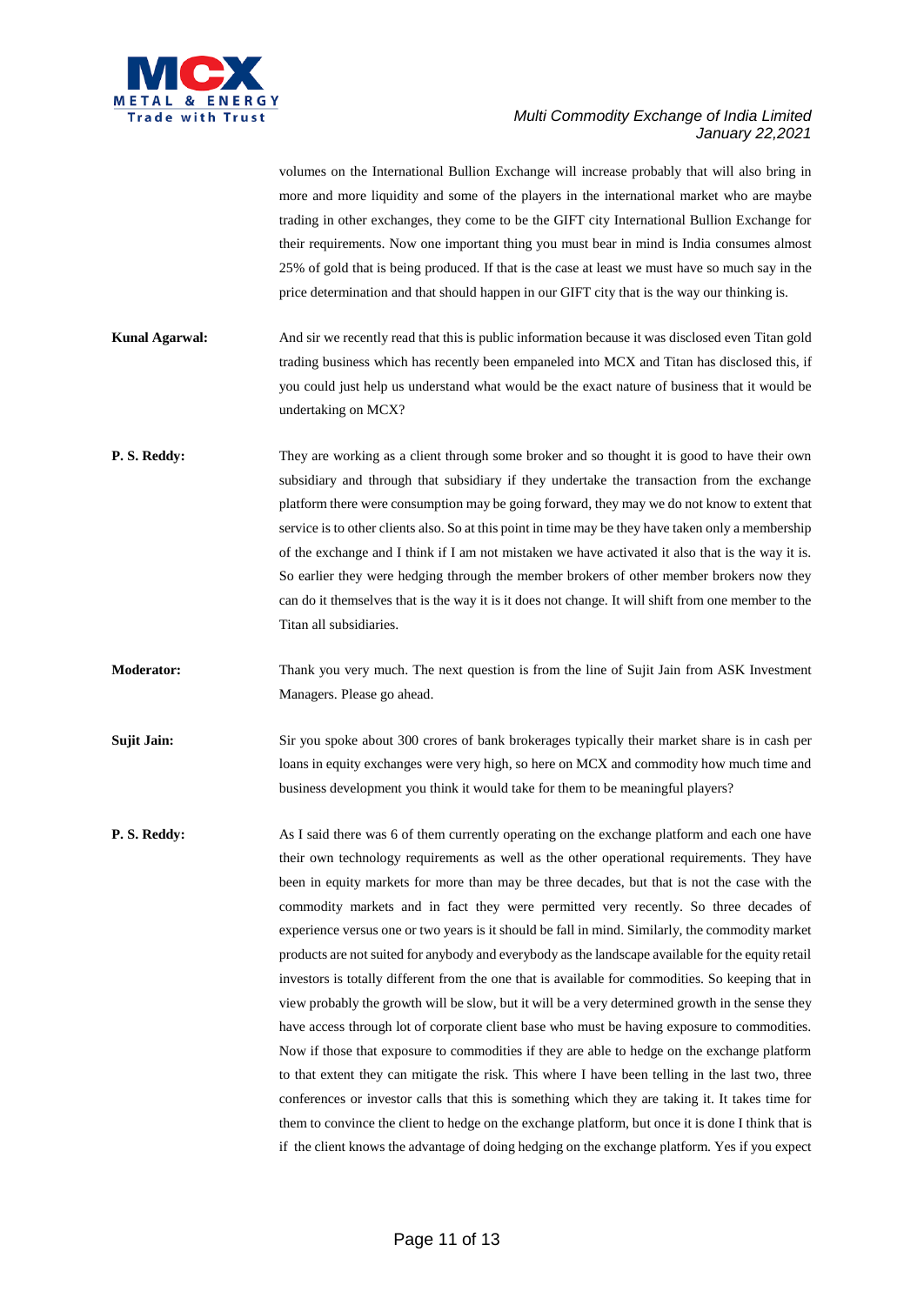

volumes on the International Bullion Exchange will increase probably that will also bring in more and more liquidity and some of the players in the international market who are maybe trading in other exchanges, they come to be the GIFT city International Bullion Exchange for their requirements. Now one important thing you must bear in mind is India consumes almost 25% of gold that is being produced. If that is the case at least we must have so much say in the price determination and that should happen in our GIFT city that is the way our thinking is. **Kunal Agarwal:** And sir we recently read that this is public information because it was disclosed even Titan gold trading business which has recently been empaneled into MCX and Titan has disclosed this, if you could just help us understand what would be the exact nature of business that it would be undertaking on MCX? **P. S. Reddy:** They are working as a client through some broker and so thought it is good to have their own subsidiary and through that subsidiary if they undertake the transaction from the exchange platform there were consumption may be going forward, they may we do not know to extent that service is to other clients also. So at this point in time may be they have taken only a membership of the exchange and I think if I am not mistaken we have activated it also that is the way it is. So earlier they were hedging through the member brokers of other member brokers now they can do it themselves that is the way it is it does not change. It will shift from one member to the Titan all subsidiaries. **Moderator:** Thank you very much. The next question is from the line of Sujit Jain from ASK Investment Managers. Please go ahead. **Sujit Jain:** Sir you spoke about 300 crores of bank brokerages typically their market share is in cash per loans in equity exchanges were very high, so here on MCX and commodity how much time and business development you think it would take for them to be meaningful players? **P. S. Reddy:** As I said there was 6 of them currently operating on the exchange platform and each one have their own technology requirements as well as the other operational requirements. They have been in equity markets for more than may be three decades, but that is not the case with the commodity markets and in fact they were permitted very recently. So three decades of experience versus one or two years is it should be fall in mind. Similarly, the commodity market products are not suited for anybody and everybody as the landscape available for the equity retail investors is totally different from the one that is available for commodities. So keeping that in view probably the growth will be slow, but it will be a very determined growth in the sense they have access through lot of corporate client base who must be having exposure to commodities. Now if those that exposure to commodities if they are able to hedge on the exchange platform to that extent they can mitigate the risk. This where I have been telling in the last two, three

conferences or investor calls that this is something which they are taking it. It takes time for them to convince the client to hedge on the exchange platform, but once it is done I think that is if the client knows the advantage of doing hedging on the exchange platform. Yes if you expect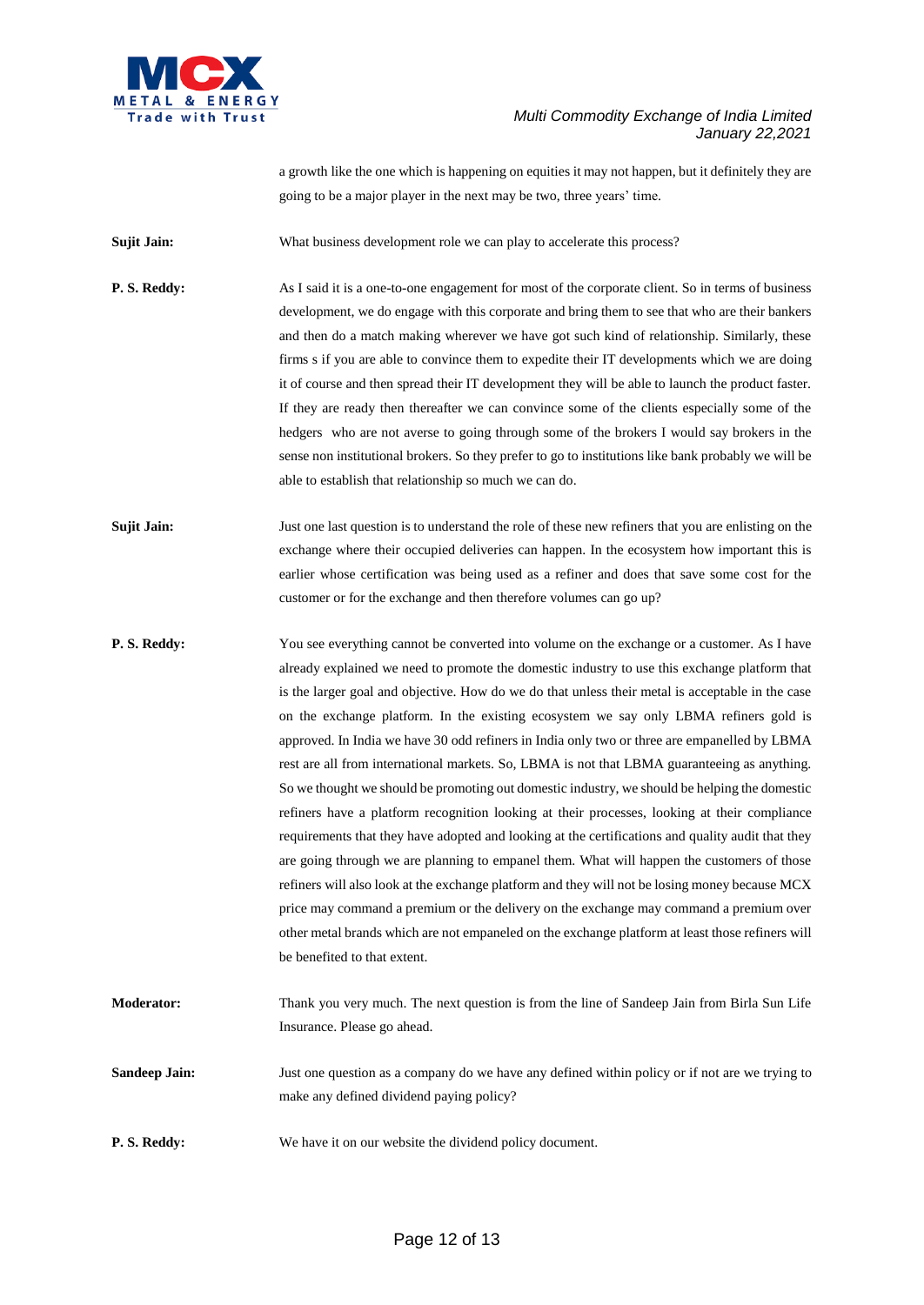

a growth like the one which is happening on equities it may not happen, but it definitely they are going to be a major player in the next may be two, three years' time.

**Sujit Jain:** What business development role we can play to accelerate this process?

**P. S. Reddy:** As I said it is a one-to-one engagement for most of the corporate client. So in terms of business development, we do engage with this corporate and bring them to see that who are their bankers and then do a match making wherever we have got such kind of relationship. Similarly, these firms s if you are able to convince them to expedite their IT developments which we are doing it of course and then spread their IT development they will be able to launch the product faster. If they are ready then thereafter we can convince some of the clients especially some of the hedgers who are not averse to going through some of the brokers I would say brokers in the sense non institutional brokers. So they prefer to go to institutions like bank probably we will be able to establish that relationship so much we can do.

**Sujit Jain:** Just one last question is to understand the role of these new refiners that you are enlisting on the exchange where their occupied deliveries can happen. In the ecosystem how important this is earlier whose certification was being used as a refiner and does that save some cost for the customer or for the exchange and then therefore volumes can go up?

- **P. S. Reddy:** You see everything cannot be converted into volume on the exchange or a customer. As I have already explained we need to promote the domestic industry to use this exchange platform that is the larger goal and objective. How do we do that unless their metal is acceptable in the case on the exchange platform. In the existing ecosystem we say only LBMA refiners gold is approved. In India we have 30 odd refiners in India only two or three are empanelled by LBMA rest are all from international markets. So, LBMA is not that LBMA guaranteeing as anything. So we thought we should be promoting out domestic industry, we should be helping the domestic refiners have a platform recognition looking at their processes, looking at their compliance requirements that they have adopted and looking at the certifications and quality audit that they are going through we are planning to empanel them. What will happen the customers of those refiners will also look at the exchange platform and they will not be losing money because MCX price may command a premium or the delivery on the exchange may command a premium over other metal brands which are not empaneled on the exchange platform at least those refiners will be benefited to that extent.
- **Moderator:** Thank you very much. The next question is from the line of Sandeep Jain from Birla Sun Life Insurance. Please go ahead.

**Sandeep Jain:** Just one question as a company do we have any defined within policy or if not are we trying to make any defined dividend paying policy?

**P. S. Reddy:** We have it on our website the dividend policy document.